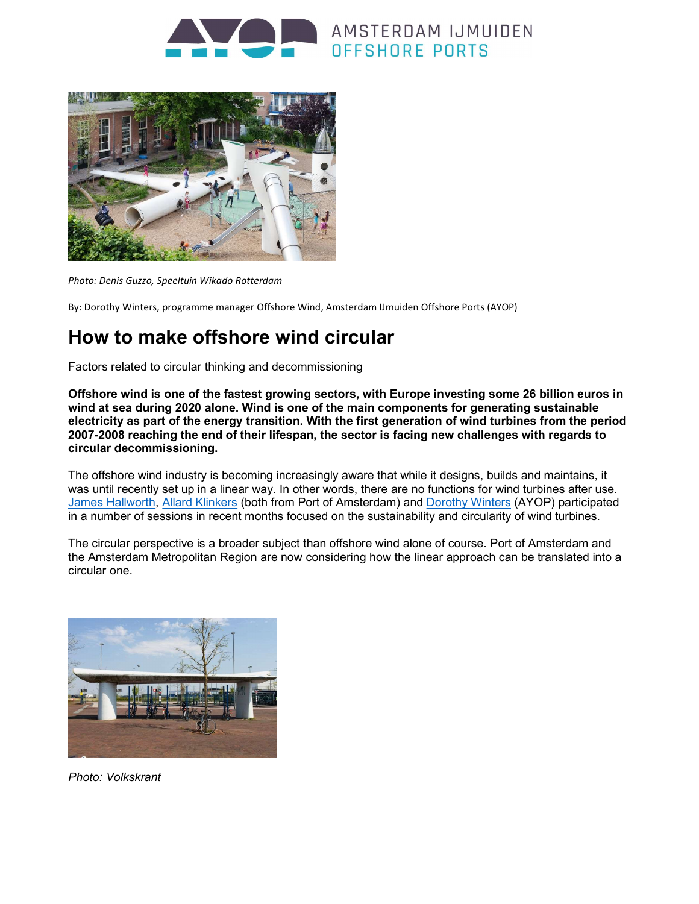



Photo: Denis Guzzo, Speeltuin Wikado Rotterdam

By: Dorothy Winters, programme manager Offshore Wind, Amsterdam IJmuiden Offshore Ports (AYOP)

# How to make offshore wind circular

Factors related to circular thinking and decommissioning

Offshore wind is one of the fastest growing sectors, with Europe investing some 26 billion euros in wind at sea during 2020 alone. Wind is one of the main components for generating sustainable electricity as part of the energy transition. With the first generation of wind turbines from the period 2007-2008 reaching the end of their lifespan, the sector is facing new challenges with regards to circular decommissioning.

The offshore wind industry is becoming increasingly aware that while it designs, builds and maintains, it was until recently set up in a linear way. In other words, there are no functions for wind turbines after use. James Hallworth, Allard Klinkers (both from Port of Amsterdam) and Dorothy Winters (AYOP) participated in a number of sessions in recent months focused on the sustainability and circularity of wind turbines.

The circular perspective is a broader subject than offshore wind alone of course. Port of Amsterdam and the Amsterdam Metropolitan Region are now considering how the linear approach can be translated into a circular one.



Photo: Volkskrant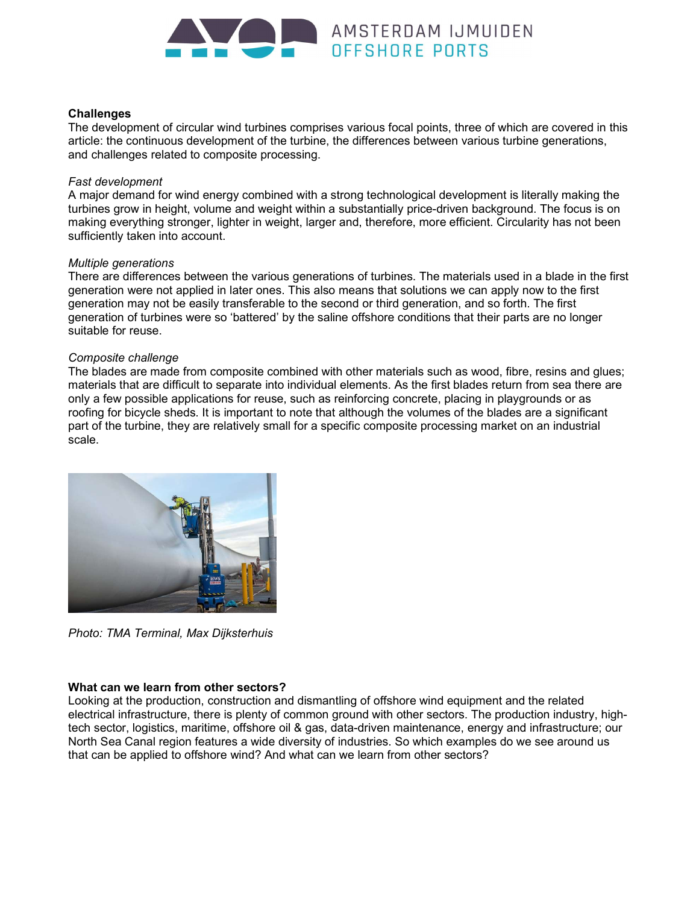

## **Challenges**

The development of circular wind turbines comprises various focal points, three of which are covered in this article: the continuous development of the turbine, the differences between various turbine generations, and challenges related to composite processing.

#### Fast development

A major demand for wind energy combined with a strong technological development is literally making the turbines grow in height, volume and weight within a substantially price-driven background. The focus is on making everything stronger, lighter in weight, larger and, therefore, more efficient. Circularity has not been sufficiently taken into account.

## Multiple generations

There are differences between the various generations of turbines. The materials used in a blade in the first generation were not applied in later ones. This also means that solutions we can apply now to the first generation may not be easily transferable to the second or third generation, and so forth. The first generation of turbines were so 'battered' by the saline offshore conditions that their parts are no longer suitable for reuse.

# Composite challenge

The blades are made from composite combined with other materials such as wood, fibre, resins and glues; materials that are difficult to separate into individual elements. As the first blades return from sea there are only a few possible applications for reuse, such as reinforcing concrete, placing in playgrounds or as roofing for bicycle sheds. It is important to note that although the volumes of the blades are a significant part of the turbine, they are relatively small for a specific composite processing market on an industrial scale.



Photo: TMA Terminal, Max Dijksterhuis

# What can we learn from other sectors?

Looking at the production, construction and dismantling of offshore wind equipment and the related electrical infrastructure, there is plenty of common ground with other sectors. The production industry, hightech sector, logistics, maritime, offshore oil & gas, data-driven maintenance, energy and infrastructure; our North Sea Canal region features a wide diversity of industries. So which examples do we see around us that can be applied to offshore wind? And what can we learn from other sectors?